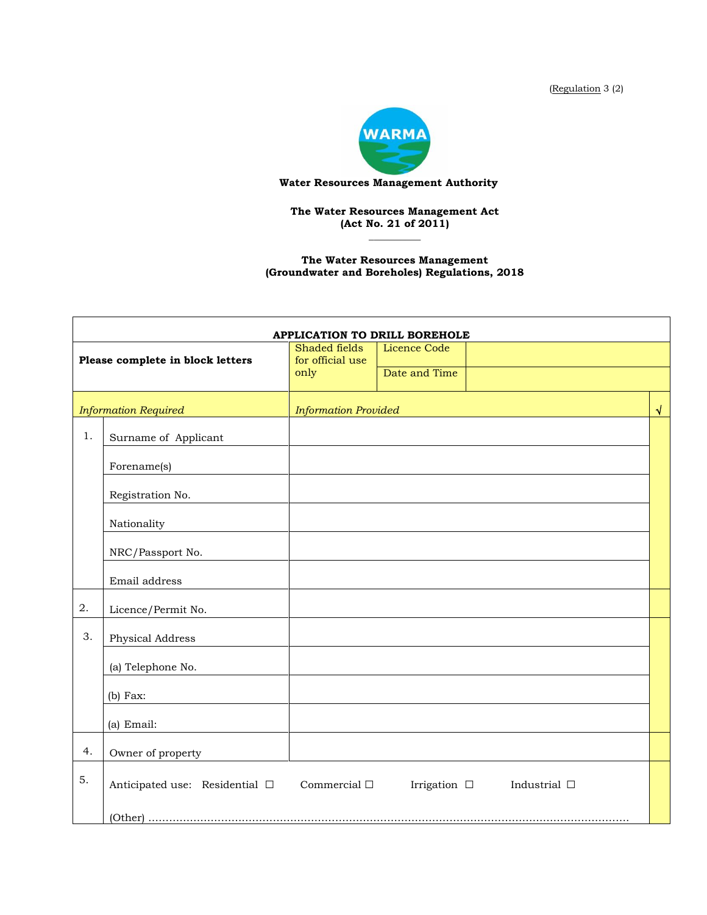(Regulation 3 (2)



## **Water Resources Management Authority**

**The Water Resources Management Act (Act No. 21 of 2011) \_\_\_\_\_\_\_\_\_\_**

**The Water Resources Management (Groundwater and Boreholes) Regulations, 2018**

| APPLICATION TO DRILL BOREHOLE    |                                |                             |                                        |            |  |  |  |
|----------------------------------|--------------------------------|-----------------------------|----------------------------------------|------------|--|--|--|
|                                  |                                | Shaded fields               | <b>Licence Code</b>                    |            |  |  |  |
| Please complete in block letters |                                | for official use<br>only    | Date and Time                          |            |  |  |  |
|                                  |                                |                             |                                        |            |  |  |  |
| <b>Information Required</b>      |                                | <b>Information Provided</b> |                                        | $\sqrt{ }$ |  |  |  |
| $1$ .                            | Surname of Applicant           |                             |                                        |            |  |  |  |
|                                  | Forename(s)                    |                             |                                        |            |  |  |  |
|                                  | Registration No.               |                             |                                        |            |  |  |  |
|                                  | Nationality                    |                             |                                        |            |  |  |  |
|                                  | NRC/Passport No.               |                             |                                        |            |  |  |  |
|                                  | Email address                  |                             |                                        |            |  |  |  |
| 2.                               | Licence/Permit No.             |                             |                                        |            |  |  |  |
| 3.                               | Physical Address               |                             |                                        |            |  |  |  |
|                                  | (a) Telephone No.              |                             |                                        |            |  |  |  |
|                                  | $(b)$ Fax:                     |                             |                                        |            |  |  |  |
|                                  | (a) Email:                     |                             |                                        |            |  |  |  |
| 4.                               | Owner of property              |                             |                                        |            |  |  |  |
| 5.                               | Anticipated use: Residential □ | Commercial $\Box$           | Irrigation $\Box$<br>Industrial $\Box$ |            |  |  |  |
|                                  |                                |                             |                                        |            |  |  |  |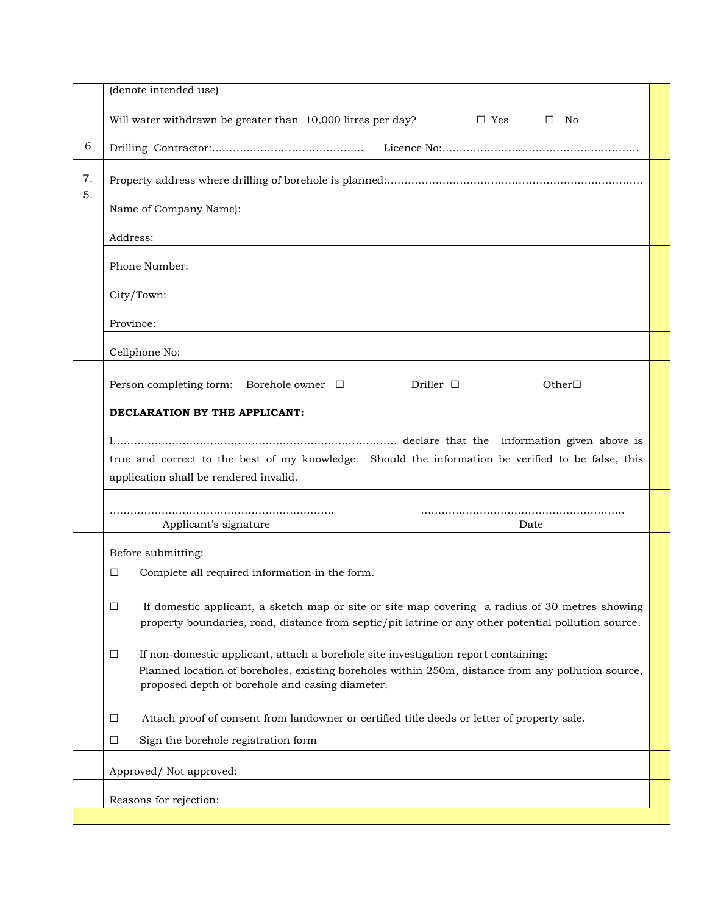|               | (denote intended use)                                                                                                                                                                                                                                                                         |  |  |  |  |
|---------------|-----------------------------------------------------------------------------------------------------------------------------------------------------------------------------------------------------------------------------------------------------------------------------------------------|--|--|--|--|
|               | Will water withdrawn be greater than 10,000 litres per day?<br>$\Box$ Yes<br>$\square$ No                                                                                                                                                                                                     |  |  |  |  |
| 6             |                                                                                                                                                                                                                                                                                               |  |  |  |  |
| 7.            |                                                                                                                                                                                                                                                                                               |  |  |  |  |
| 5.            | Name of Company Name):                                                                                                                                                                                                                                                                        |  |  |  |  |
|               | Address:                                                                                                                                                                                                                                                                                      |  |  |  |  |
| Phone Number: |                                                                                                                                                                                                                                                                                               |  |  |  |  |
|               | City/Town:                                                                                                                                                                                                                                                                                    |  |  |  |  |
|               | Province:                                                                                                                                                                                                                                                                                     |  |  |  |  |
|               | Cellphone No:                                                                                                                                                                                                                                                                                 |  |  |  |  |
|               | Person completing form: Borehole owner $\Box$<br>Driller $\Box$<br>Other $\Box$                                                                                                                                                                                                               |  |  |  |  |
|               | DECLARATION BY THE APPLICANT:<br>true and correct to the best of my knowledge. Should the information be verified to be false, this<br>application shall be rendered invalid.                                                                                                                 |  |  |  |  |
|               |                                                                                                                                                                                                                                                                                               |  |  |  |  |
|               | Applicant's signature<br>Date                                                                                                                                                                                                                                                                 |  |  |  |  |
|               | Before submitting:<br>Complete all required information in the form.<br>□<br>If domestic applicant, a sketch map or site or site map covering a radius of 30 metres showing<br>$\Box$<br>property boundaries, road, distance from septic/pit latrine or any other potential pollution source. |  |  |  |  |
|               |                                                                                                                                                                                                                                                                                               |  |  |  |  |
|               | If non-domestic applicant, attach a borehole site investigation report containing:<br>$\Box$<br>Planned location of boreholes, existing boreholes within 250m, distance from any pollution source,<br>proposed depth of borehole and casing diameter.                                         |  |  |  |  |
|               | Attach proof of consent from landowner or certified title deeds or letter of property sale.<br>Ц                                                                                                                                                                                              |  |  |  |  |
|               | Sign the borehole registration form<br>$\Box$                                                                                                                                                                                                                                                 |  |  |  |  |
|               | Approved/ Not approved:                                                                                                                                                                                                                                                                       |  |  |  |  |
|               | Reasons for rejection:                                                                                                                                                                                                                                                                        |  |  |  |  |
|               |                                                                                                                                                                                                                                                                                               |  |  |  |  |